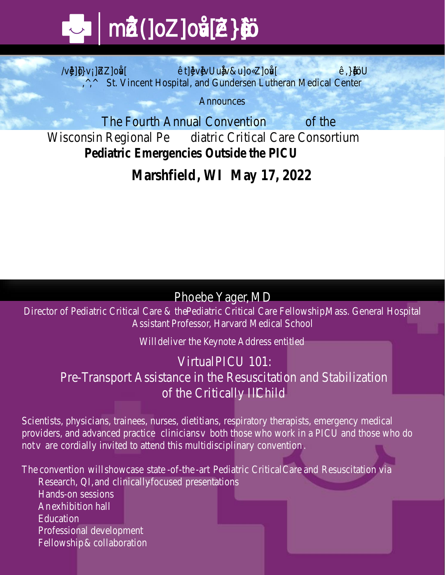# m**-Œ•Z(]oZ]oŒv[•Z}•‰]š-**

St. Vincent Hospital, and Gundersen Lutheran M *Announces*

The Fourth Annual Converttion Wisconsin RegiodialtPe Critical Care Consort **Pediatric Emergencies Outside the PICU**

**MarshfieldMay 2022** 

## Phoebe Yalder,

Director of Pediatric Criptidat Care & tital Care Fellowship it al Assistant Fessor, Harvard hidedical

Wildeliver **the K Address entitled** 

Virtural PLU 101: PreTransport Assistance in the Resuscitation ofthe Criticallivalll

Scientists, physicians, trainees, nurses, dietitians, respirator providers, and advandied clinicatios who work in a PICU and those who work in a PICU and those who work notarcordially invited to attend this multidisciplinary conver

Theonventidithowcats to harpediatrict i CarrandResuscitation

- $\ddagger$  ResearCh, ndlinically cused sentations
- $\frac{1}{4}$  Hands  $\frac{1}{4}$  Hands  $\frac{1}{4}$
- $\ddagger$  Anexhibithianh
- **‡** Education
- $\frac{1}{2}$  Professidencelopment
- **‡** Fellowstaip laboration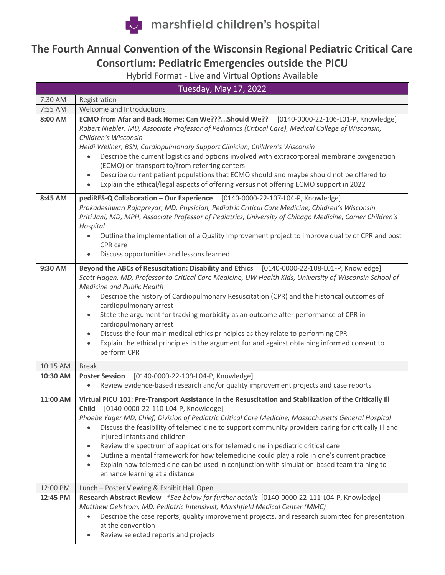

## **The Fourth Annual Convention of the Wisconsin Regional Pediatric Critical Care Consortium: Pediatric Emergencies outside the PICU**

Hybrid Format - Live and Virtual Options Available

| Tuesday, May 17, 2022 |                                                                                                                                                                                                                                                                                                                                                                                                                                                                                                                                                                                                                                                                                                                        |  |  |  |
|-----------------------|------------------------------------------------------------------------------------------------------------------------------------------------------------------------------------------------------------------------------------------------------------------------------------------------------------------------------------------------------------------------------------------------------------------------------------------------------------------------------------------------------------------------------------------------------------------------------------------------------------------------------------------------------------------------------------------------------------------------|--|--|--|
| 7:30 AM               | Registration                                                                                                                                                                                                                                                                                                                                                                                                                                                                                                                                                                                                                                                                                                           |  |  |  |
| 7:55 AM               | Welcome and Introductions                                                                                                                                                                                                                                                                                                                                                                                                                                                                                                                                                                                                                                                                                              |  |  |  |
| 8:00 AM               | ECMO from Afar and Back Home: Can We???Should We?? [0140-0000-22-106-L01-P, Knowledge]<br>Robert Niebler, MD, Associate Professor of Pediatrics (Critical Care), Medical College of Wisconsin,<br>Children's Wisconsin<br>Heidi Wellner, BSN, Cardiopulmonary Support Clinician, Children's Wisconsin<br>Describe the current logistics and options involved with extracorporeal membrane oxygenation<br>(ECMO) on transport to/from referring centers<br>Describe current patient populations that ECMO should and maybe should not be offered to<br>Explain the ethical/legal aspects of offering versus not offering ECMO support in 2022                                                                           |  |  |  |
| 8:45 AM               | pediRES-Q Collaboration - Our Experience [0140-0000-22-107-L04-P, Knowledge]<br>Prakadeshwari Rajapreyar, MD, Physician, Pediatric Critical Care Medicine, Children's Wisconsin<br>Priti Jani, MD, MPH, Associate Professor of Pediatrics, University of Chicago Medicine, Comer Children's<br>Hospital<br>Outline the implementation of a Quality Improvement project to improve quality of CPR and post<br>CPR care<br>Discuss opportunities and lessons learned                                                                                                                                                                                                                                                     |  |  |  |
| 9:30 AM               | Beyond the ABCs of Resuscitation: Disability and Ethics [0140-0000-22-108-L01-P, Knowledge]<br>Scott Hagen, MD, Professor to Critical Care Medicine, UW Health Kids, University of Wisconsin School of<br>Medicine and Public Health<br>Describe the history of Cardiopulmonary Resuscitation (CPR) and the historical outcomes of<br>cardiopulmonary arrest<br>State the argument for tracking morbidity as an outcome after performance of CPR in<br>cardiopulmonary arrest<br>Discuss the four main medical ethics principles as they relate to performing CPR<br>Explain the ethical principles in the argument for and against obtaining informed consent to<br>$\bullet$<br>perform CPR                          |  |  |  |
| 10:15 AM              | <b>Break</b>                                                                                                                                                                                                                                                                                                                                                                                                                                                                                                                                                                                                                                                                                                           |  |  |  |
| 10:30 AM              | [0140-0000-22-109-L04-P, Knowledge]<br><b>Poster Session</b><br>Review evidence-based research and/or quality improvement projects and case reports<br>$\bullet$                                                                                                                                                                                                                                                                                                                                                                                                                                                                                                                                                       |  |  |  |
| 11:00 AM              | Virtual PICU 101: Pre-Transport Assistance in the Resuscitation and Stabilization of the Critically III<br>Child [0140-0000-22-110-L04-P, Knowledge]<br>Phoebe Yager MD, Chief, Division of Pediatric Critical Care Medicine, Massachusetts General Hospital<br>Discuss the feasibility of telemedicine to support community providers caring for critically ill and<br>injured infants and children<br>Review the spectrum of applications for telemedicine in pediatric critical care<br>Outline a mental framework for how telemedicine could play a role in one's current practice<br>Explain how telemedicine can be used in conjunction with simulation-based team training to<br>enhance learning at a distance |  |  |  |
| 12:00 PM              | Lunch - Poster Viewing & Exhibit Hall Open                                                                                                                                                                                                                                                                                                                                                                                                                                                                                                                                                                                                                                                                             |  |  |  |
| 12:45 PM              | Research Abstract Review *See below for further details [0140-0000-22-111-L04-P, Knowledge]<br>Matthew Oelstrom, MD, Pediatric Intensivist, Marshfield Medical Center (MMC)<br>Describe the case reports, quality improvement projects, and research submitted for presentation<br>at the convention<br>Review selected reports and projects                                                                                                                                                                                                                                                                                                                                                                           |  |  |  |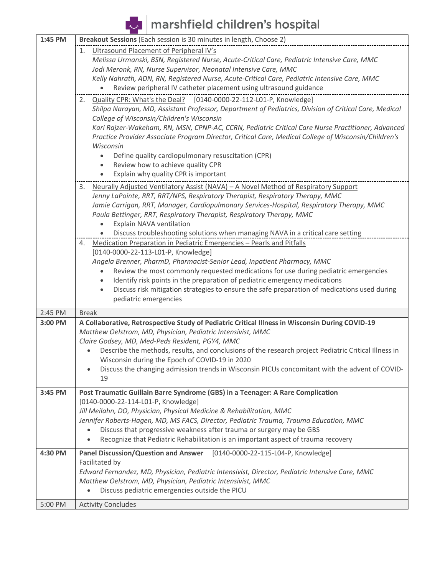marshfield children's hospital

| 1:45 PM | Breakout Sessions (Each session is 30 minutes in length, Choose 2)                                        |  |  |  |  |  |
|---------|-----------------------------------------------------------------------------------------------------------|--|--|--|--|--|
|         | 1. Ultrasound Placement of Peripheral IV's                                                                |  |  |  |  |  |
|         | Melissa Urmanski, BSN, Registered Nurse, Acute-Critical Care, Pediatric Intensive Care, MMC               |  |  |  |  |  |
|         | Jodi Meronk, RN, Nurse Supervisor, Neonatal Intensive Care, MMC                                           |  |  |  |  |  |
|         | Kelly Nahrath, ADN, RN, Registered Nurse, Acute-Critical Care, Pediatric Intensive Care, MMC              |  |  |  |  |  |
|         | Review peripheral IV catheter placement using ultrasound guidance                                         |  |  |  |  |  |
|         | Quality CPR: What's the Deal?<br>[0140-0000-22-112-L01-P, Knowledge]<br>2.                                |  |  |  |  |  |
|         | Shilpa Narayan, MD, Assistant Professor, Department of Pediatrics, Division of Critical Care, Medical     |  |  |  |  |  |
|         | College of Wisconsin/Children's Wisconsin                                                                 |  |  |  |  |  |
|         | Kari Rajzer-Wakeham, RN, MSN, CPNP-AC, CCRN, Pediatric Critical Care Nurse Practitioner, Advanced         |  |  |  |  |  |
|         | Practice Provider Associate Program Director, Critical Care, Medical College of Wisconsin/Children's      |  |  |  |  |  |
|         | Wisconsin                                                                                                 |  |  |  |  |  |
|         | Define quality cardiopulmonary resuscitation (CPR)                                                        |  |  |  |  |  |
|         | Review how to achieve quality CPR<br>٠                                                                    |  |  |  |  |  |
|         | Explain why quality CPR is important<br>$\bullet$                                                         |  |  |  |  |  |
|         | Neurally Adjusted Ventilatory Assist (NAVA) - A Novel Method of Respiratory Support<br>3.                 |  |  |  |  |  |
|         | Jenny LaPointe, RRT, RRT/NPS, Respiratory Therapist, Respiratory Therapy, MMC                             |  |  |  |  |  |
|         | Jamie Carrigan, RRT, Manager, Cardiopulmonary Services-Hospital, Respiratory Therapy, MMC                 |  |  |  |  |  |
|         | Paula Bettinger, RRT, Respiratory Therapist, Respiratory Therapy, MMC                                     |  |  |  |  |  |
|         | Explain NAVA ventilation                                                                                  |  |  |  |  |  |
|         | Discuss troubleshooting solutions when managing NAVA in a critical care setting                           |  |  |  |  |  |
|         | Medication Preparation in Pediatric Emergencies - Pearls and Pitfalls<br>4.                               |  |  |  |  |  |
|         | [0140-0000-22-113-L01-P, Knowledge]                                                                       |  |  |  |  |  |
|         | Angela Brenner, PharmD, Pharmacist-Senior Lead, Inpatient Pharmacy, MMC                                   |  |  |  |  |  |
|         | Review the most commonly requested medications for use during pediatric emergencies                       |  |  |  |  |  |
|         | Identify risk points in the preparation of pediatric emergency medications<br>$\bullet$                   |  |  |  |  |  |
|         | Discuss risk mitigation strategies to ensure the safe preparation of medications used during<br>$\bullet$ |  |  |  |  |  |
|         | pediatric emergencies                                                                                     |  |  |  |  |  |
|         |                                                                                                           |  |  |  |  |  |
| 2:45 PM | <b>Break</b>                                                                                              |  |  |  |  |  |
| 3:00 PM | A Collaborative, Retrospective Study of Pediatric Critical Illness in Wisconsin During COVID-19           |  |  |  |  |  |
|         | Matthew Oelstrom, MD, Physician, Pediatric Intensivist, MMC                                               |  |  |  |  |  |
|         | Claire Godsey, MD, Med-Peds Resident, PGY4, MMC                                                           |  |  |  |  |  |
|         | Describe the methods, results, and conclusions of the research project Pediatric Critical Illness in      |  |  |  |  |  |
|         | Wisconsin during the Epoch of COVID-19 in 2020                                                            |  |  |  |  |  |
|         | Discuss the changing admission trends in Wisconsin PICUs concomitant with the advent of COVID-            |  |  |  |  |  |
|         | 19                                                                                                        |  |  |  |  |  |
| 3:45 PM | Post Traumatic Guillain Barre Syndrome (GBS) in a Teenager: A Rare Complication                           |  |  |  |  |  |
|         | [0140-0000-22-114-L01-P, Knowledge]                                                                       |  |  |  |  |  |
|         | Jill Meilahn, DO, Physician, Physical Medicine & Rehabilitation, MMC                                      |  |  |  |  |  |
|         | Jennifer Roberts-Hagen, MD, MS FACS, Director, Pediatric Trauma, Trauma Education, MMC                    |  |  |  |  |  |
|         | Discuss that progressive weakness after trauma or surgery may be GBS                                      |  |  |  |  |  |
|         | Recognize that Pediatric Rehabilitation is an important aspect of trauma recovery                         |  |  |  |  |  |
| 4:30 PM | <b>Panel Discussion/Question and Answer</b><br>[0140-0000-22-115-L04-P, Knowledge]                        |  |  |  |  |  |
|         | Facilitated by                                                                                            |  |  |  |  |  |
|         | Edward Fernandez, MD, Physician, Pediatric Intensivist, Director, Pediatric Intensive Care, MMC           |  |  |  |  |  |
|         | Matthew Oelstrom, MD, Physician, Pediatric Intensivist, MMC                                               |  |  |  |  |  |
|         | Discuss pediatric emergencies outside the PICU                                                            |  |  |  |  |  |
|         |                                                                                                           |  |  |  |  |  |
| 5:00 PM | <b>Activity Concludes</b>                                                                                 |  |  |  |  |  |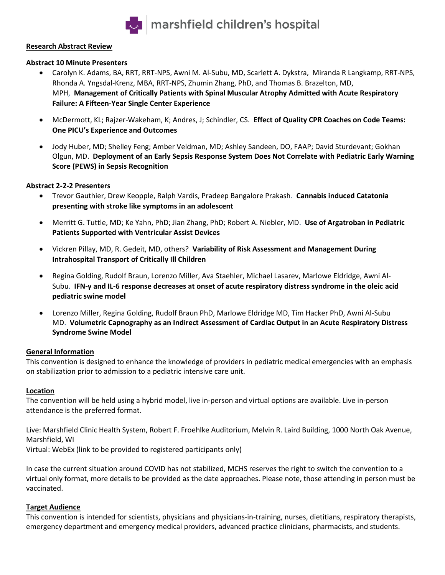

#### **Research Abstract Review**

#### **Abstract 10 Minute Presenters**

- Carolyn K. Adams, BA, RRT, RRT-NPS, Awni M. Al-Subu, MD, Scarlett A. Dykstra, Miranda R Langkamp, RRT-NPS, Rhonda A. Yngsdal-Krenz, MBA, RRT-NPS, Zhumin Zhang, PhD, and Thomas B. Brazelton, MD, MPH, **Management of Critically Patients with Spinal Muscular Atrophy Admitted with Acute Respiratory Failure: A Fifteen-Year Single Center Experience**
- McDermott, KL; Rajzer-Wakeham, K; Andres, J; Schindler, CS. **Effect of Quality CPR Coaches on Code Teams: One PICU's Experience and Outcomes**
- Jody Huber, MD; Shelley Feng; Amber Veldman, MD; Ashley Sandeen, DO, FAAP; David Sturdevant; Gokhan Olgun, MD. **Deployment of an Early Sepsis Response System Does Not Correlate with Pediatric Early Warning Score (PEWS) in Sepsis Recognition**

#### **Abstract 2-2-2 Presenters**

- Trevor Gauthier, Drew Keopple, Ralph Vardis, Pradeep Bangalore Prakash. **Cannabis induced Catatonia presenting with stroke like symptoms in an adolescent**
- Merritt G. Tuttle, MD; Ke Yahn, PhD; Jian Zhang, PhD; Robert A. Niebler, MD. **Use of Argatroban in Pediatric Patients Supported with Ventricular Assist Devices**
- Vickren Pillay, MD, R. Gedeit, MD, others? **Variability of Risk Assessment and Management During Intrahospital Transport of Critically Ill Children**
- Regina Golding, Rudolf Braun, Lorenzo Miller, Ava Staehler, Michael Lasarev, Marlowe Eldridge, Awni Al-Subu. **IFN-γ and IL-6 response decreases at onset of acute respiratory distress syndrome in the oleic acid pediatric swine model**
- Lorenzo Miller, Regina Golding, Rudolf Braun PhD, Marlowe Eldridge MD, Tim Hacker PhD, Awni Al-Subu MD. **Volumetric Capnography as an Indirect Assessment of Cardiac Output in an Acute Respiratory Distress Syndrome Swine Model**

#### **General Information**

This convention is designed to enhance the knowledge of providers in pediatric medical emergencies with an emphasis on stabilization prior to admission to a pediatric intensive care unit.

#### **Location**

The convention will be held using a hybrid model, live in-person and virtual options are available. Live in-person attendance is the preferred format.

Live: Marshfield Clinic Health System, Robert F. Froehlke Auditorium, Melvin R. Laird Building, 1000 North Oak Avenue, Marshfield, WI

Virtual: WebEx (link to be provided to registered participants only)

In case the current situation around COVID has not stabilized, MCHS reserves the right to switch the convention to a virtual only format, more details to be provided as the date approaches. Please note, those attending in person must be vaccinated.

#### **Target Audience**

This convention is intended for scientists, physicians and physicians-in-training, nurses, dietitians, respiratory therapists, emergency department and emergency medical providers, advanced practice clinicians, pharmacists, and students.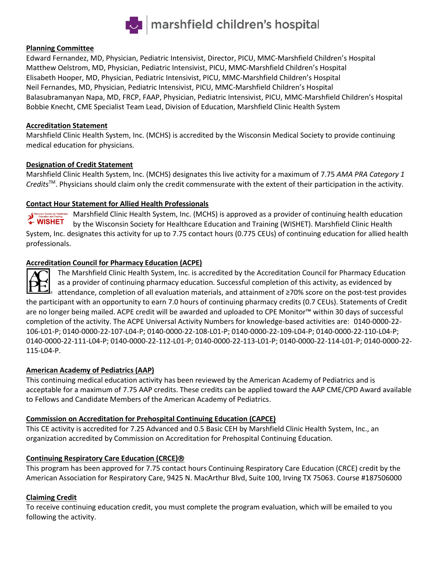

#### **Planning Committee**

Edward Fernandez, MD, Physician, Pediatric Intensivist, Director, PICU, MMC-Marshfield Children's Hospital Matthew Oelstrom, MD, Physician, Pediatric Intensivist, PICU, MMC-Marshfield Children's Hospital Elisabeth Hooper, MD, Physician, Pediatric Intensivist, PICU, MMC-Marshfield Children's Hospital Neil Fernandes, MD, Physician, Pediatric Intensivist, PICU, MMC-Marshfield Children's Hospital Balasubramanyan Napa, MD, FRCP, FAAP, Physician, Pediatric Intensivist, PICU, MMC-Marshfield Children's Hospital Bobbie Knecht, CME Specialist Team Lead, Division of Education, Marshfield Clinic Health System

#### **Accreditation Statement**

Marshfield Clinic Health System, Inc. (MCHS) is accredited by the Wisconsin Medical Society to provide continuing medical education for physicians.

#### **Designation of Credit Statement**

Marshfield Clinic Health System, Inc. (MCHS) designates this live activity for a maximum of 7.75 *AMA PRA Category 1 Credits*TM. Physicians should claim only the credit commensurate with the extent of their participation in the activity.

#### **Contact Hour Statement for Allied Health Professionals**

Marshfield Clinic Health System, Inc. (MCHS) is approved as a provider of continuing health education WISHET by the Wisconsin Society for Healthcare Education and Training (WISHET). Marshfield Clinic Health System, Inc. designates this activity for up to 7.75 contact hours (0.775 CEUs) of continuing education for allied health professionals.

#### **Accreditation Council for Pharmacy Education (ACPE)**

The Marshfield Clinic Health System, Inc. is accredited by the Accreditation Council for Pharmacy Education as a provider of continuing pharmacy education. Successful completion of this activity, as evidenced by attendance, completion of all evaluation materials, and attainment of ≥70% score on the post-test provides the participant with an opportunity to earn 7.0 hours of continuing pharmacy credits (0.7 CEUs). Statements of Credit are no longer being mailed. ACPE credit will be awarded and uploaded to CPE Monitor™ within 30 days of successful completion of the activity. The ACPE Universal Activity Numbers for knowledge-based activities are: 0140-0000-22- 106-L01-P; 0140-0000-22-107-L04-P; 0140-0000-22-108-L01-P; 0140-0000-22-109-L04-P; 0140-0000-22-110-L04-P; 0140-0000-22-111-L04-P; 0140-0000-22-112-L01-P; 0140-0000-22-113-L01-P; 0140-0000-22-114-L01-P; 0140-0000-22- 115-L04-P.

#### **American Academy of Pediatrics (AAP)**

This continuing medical education activity has been reviewed by the American Academy of Pediatrics and is acceptable for a maximum of 7.75 AAP credits. These credits can be applied toward the AAP CME/CPD Award available to Fellows and Candidate Members of the American Academy of Pediatrics.

#### **Commission on Accreditation for Prehospital Continuing Education (CAPCE)**

This CE activity is accredited for 7.25 Advanced and 0.5 Basic CEH by Marshfield Clinic Health System, Inc., an organization accredited by Commission on Accreditation for Prehospital Continuing Education.

#### **Continuing Respiratory Care Education (CRCE)**

This program has been approved for 7.75 contact hours Continuing Respiratory Care Education (CRCE) credit by the American Association for Respiratory Care, 9425 N. MacArthur Blvd, Suite 100, Irving TX 75063. Course #187506000

#### **Claiming Credit**

To receive continuing education credit, you must complete the program evaluation, which will be emailed to you following the activity.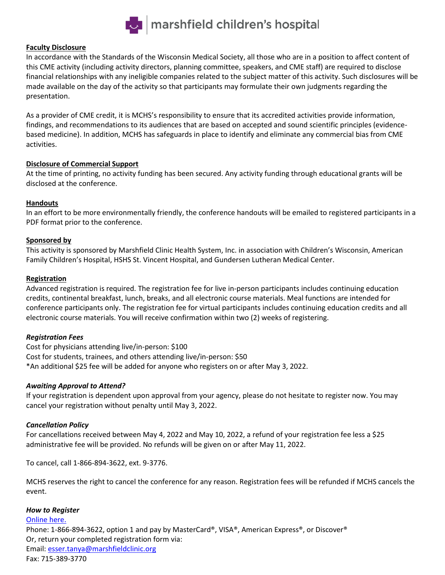

#### **Faculty Disclosure**

In accordance with the Standards of the Wisconsin Medical Society, all those who are in a position to affect content of this CME activity (including activity directors, planning committee, speakers, and CME staff) are required to disclose financial relationships with any ineligible companies related to the subject matter of this activity. Such disclosures will be made available on the day of the activity so that participants may formulate their own judgments regarding the presentation.

As a provider of CME credit, it is MCHS's responsibility to ensure that its accredited activities provide information, findings, and recommendations to its audiences that are based on accepted and sound scientific principles (evidencebased medicine). In addition, MCHS has safeguards in place to identify and eliminate any commercial bias from CME activities.

#### **Disclosure of Commercial Support**

At the time of printing, no activity funding has been secured. Any activity funding through educational grants will be disclosed at the conference.

#### **Handouts**

In an effort to be more environmentally friendly, the conference handouts will be emailed to registered participants in a PDF format prior to the conference.

#### **Sponsored by**

This activity is sponsored by Marshfield Clinic Health System, Inc. in association with Children's Wisconsin, American Family Children's Hospital, HSHS St. Vincent Hospital, and Gundersen Lutheran Medical Center.

#### **Registration**

Advanced registration is required. The registration fee for live in-person participants includes continuing education credits, continental breakfast, lunch, breaks, and all electronic course materials. Meal functions are intended for conference participants only. The registration fee for virtual participants includes continuing education credits and all electronic course materials. You will receive confirmation within two (2) weeks of registering.

#### *Registration Fees*

Cost for physicians attending live/in-person: \$100 Cost for students, trainees, and others attending live/in-person: \$50 \*An additional \$25 fee will be added for anyone who registers on or after May 3, 2022.

#### *Awaiting Approval to Attend?*

If your registration is dependent upon approval from your agency, please do not hesitate to register now. You may cancel your registration without penalty until May 3, 2022.

#### *Cancellation Policy*

For cancellations received between May 4, 2022 and May 10, 2022, a refund of your registration fee less a \$25 administrative fee will be provided. No refunds will be given on or after May 11, 2022.

To cancel, call 1-866-894-3622, ext. 9-3776.

MCHS reserves the right to cancel the conference for any reason. Registration fees will be refunded if MCHS cancels the event.

#### *How to Register*

[Online here.](https://www.surveymonkey.com/r/LSDSNFF)

Phone: 1-866-894-3622, option 1 and pay by MasterCard®, VISA®, American Express®, or Discover® Or, return your completed registration form via: Email: [esser.tanya@marshfieldclinic.org](mailto:esser.tanya@marshfieldclinic.org) Fax: 715-389-3770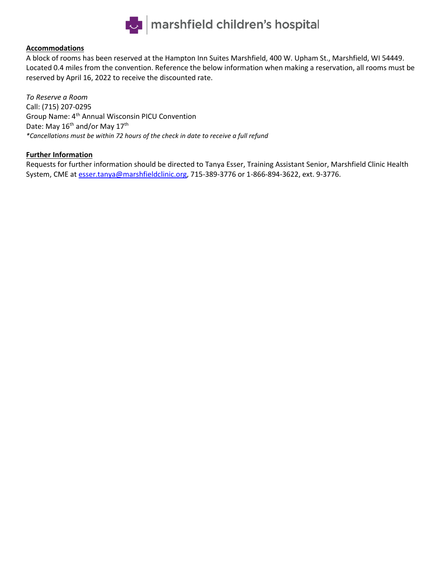

#### **Accommodations**

A block of rooms has been reserved at the Hampton Inn Suites Marshfield, 400 W. Upham St., Marshfield, WI 54449. Located 0.4 miles from the convention. Reference the below information when making a reservation, all rooms must be reserved by April 16, 2022 to receive the discounted rate.

*To Reserve a Room*  Call: (715) 207-0295 Group Name: 4<sup>th</sup> Annual Wisconsin PICU Convention Date: May 16<sup>th</sup> and/or May 17<sup>th</sup> *\*Cancellations must be within 72 hours of the check in date to receive a full refund*

#### **Further Information**

Requests for further information should be directed to Tanya Esser, Training Assistant Senior, Marshfield Clinic Health System, CME at **esser.tanya@marshfieldclinic.org**, 715-389-3776 or 1-866-894-3622, ext. 9-3776.